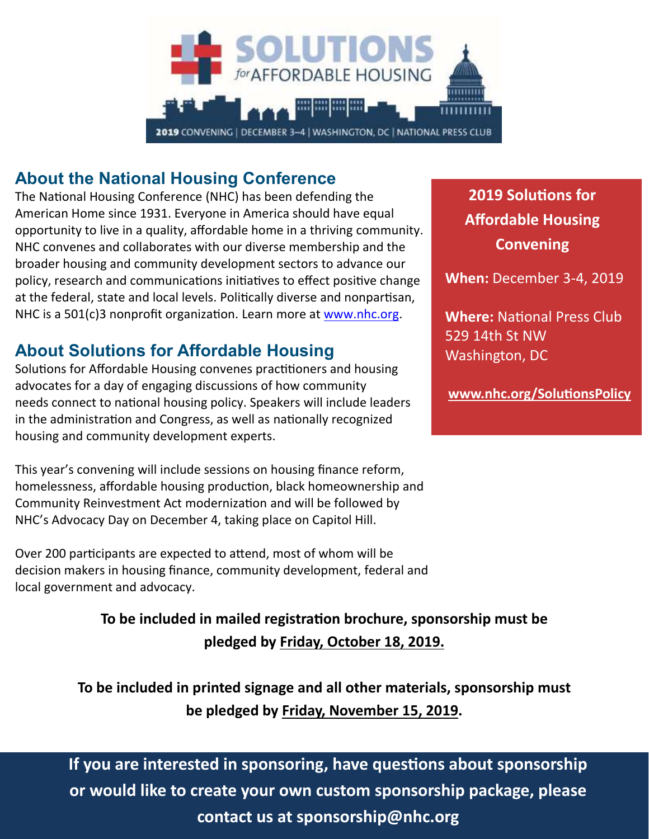

### **About the National Housing Conference**

The National Housing Conference (NHC) has been defending the American Home since 1931. Everyone in America should have equal opportunity to live in a quality, affordable home in a thriving community. NHC convenes and collaborates with our diverse membership and the broader housing and community development sectors to advance our policy, research and communications initiatives to effect positive change at the federal, state and local levels. Politically diverse and nonpartisan, NHC is a 501(c)3 nonprofit organization. Learn more at [www.nhc.org.](http://www.nhc.org/)

### **About Solutions for Affordable Housing**

Solutions for Affordable Housing convenes practitioners and housing advocates for a day of engaging discussions of how community needs connect to national housing policy. Speakers will include leaders in the administration and Congress, as well as nationally recognized housing and community development experts.

This year's convening will include sessions on housing finance reform, homelessness, affordable housing production, black homeownership and Community Reinvestment Act modernization and will be followed by NHC's Advocacy Day on December 4, taking place on Capitol Hill.

Over 200 participants are expected to attend, most of whom will be decision makers in housing finance, community development, federal and local government and advocacy.

> **To be included in mailed registration brochure, sponsorship must be pledged by Friday, October 18, 2019.**

**To be included in printed signage and all other materials, sponsorship must be pledged by Friday, November 15, 2019.**

## **If you are interested in sponsoring, have questions about sponsorship or would like to create your own custom sponsorship package, please contact us at sponsorship@nhc.org**

**2019 Solutions for Affordable Housing Convening**

**When:** December 3-4, 2019

**Where:** National Press Club 529 14th St NW Washington, DC

**[www.nhc.org/SolutionsPolicy](http://www.nhc.org/SolutionsPolicy)**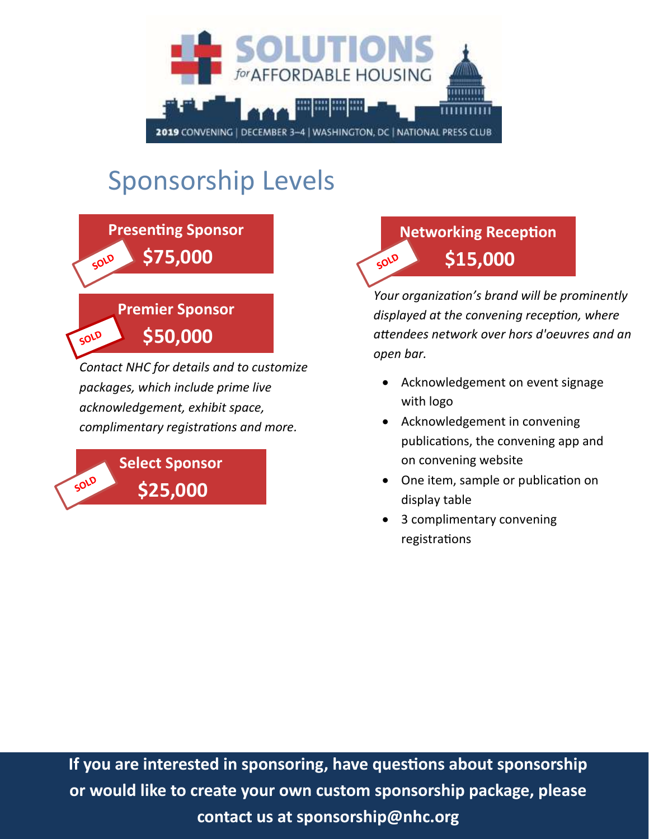

# Sponsorship Levels



*Contact NHC for details and to customize packages, which include prime live acknowledgement, exhibit space, complimentary registrations and more.*



#### **Networking Reception** SOLD **\$15,000**

*Your organization's brand will be prominently displayed at the convening reception, where attendees network over hors d'oeuvres and an open bar.*

- Acknowledgement on event signage with logo
- Acknowledgement in convening publications, the convening app and on convening website
- One item, sample or publication on display table
- 3 complimentary convening registrations

**If you are interested in sponsoring, have questions about sponsorship or would like to create your own custom sponsorship package, please contact us at sponsorship@nhc.org**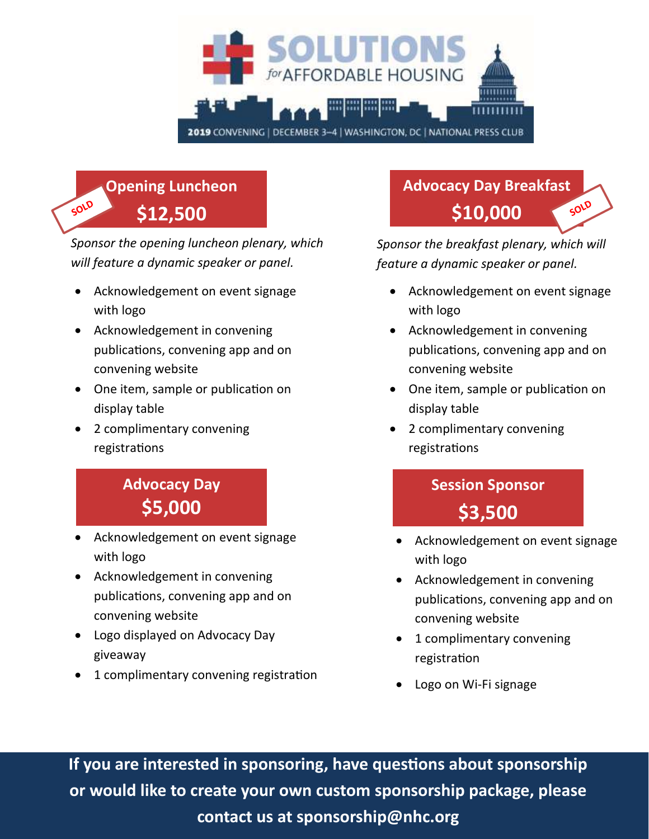

#### **Opening Luncheon**  SOLD **\$12,500**

*Sponsor the opening luncheon plenary, which will feature a dynamic speaker or panel.*

- Acknowledgement on event signage with logo
- Acknowledgement in convening publications, convening app and on convening website
- One item, sample or publication on display table
- 2 complimentary convening registrations

## **Advocacy Day \$5,000**

- Acknowledgement on event signage with logo
- Acknowledgement in convening publications, convening app and on convening website
- Logo displayed on Advocacy Day giveaway
- 1 complimentary convening registration

## **Advocacy Day Breakfast \$10,000**

*Sponsor the breakfast plenary, which will feature a dynamic speaker or panel.*

- Acknowledgement on event signage with logo
- Acknowledgement in convening publications, convening app and on convening website
- One item, sample or publication on display table
- 2 complimentary convening registrations

## **Session Sponsor \$3,500**

- Acknowledgement on event signage with logo
- Acknowledgement in convening publications, convening app and on convening website
- 1 complimentary convening registration
- Logo on Wi-Fi signage

**If you are interested in sponsoring, have questions about sponsorship or would like to create your own custom sponsorship package, please contact us at sponsorship@nhc.org**